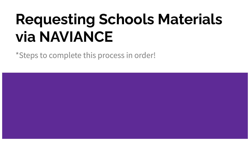# **Requesting Schools Materials via NAVIANCE**

\*Steps to complete this process in order!

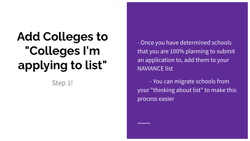## **Add Colleges to "Colleges I'm applying to list"**

Step 1!

- Once you have determined schools that you are 100% planning to submit an application to, add them to your NAVIANCE list

- You can migrate schools from your "thinking about list" to make this process easier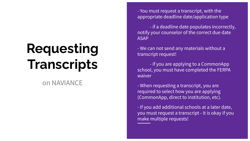## **Requesting Transcripts**

### on NAVIANCE

- You must request a transcript, with the appropriate deadline date/application type

- if a deadline date populates incorrectly, notify your counselor of the correct due date ASAP

- We can not send any materials without a transcript request!

- if you are applying to a CommonApp school, you must have completed the FERPA waiver

- When requesting a transcript, you are required to select how you are applying (CommonApp, direct to institution, etc).

- If you add additional schools at a later date, you must request a transcript - it is okay if you make multiple requests!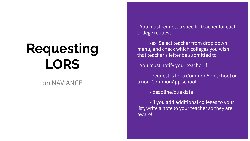## **Requesting LORS**

### on NAVIANCE

- You must request a specific teacher for each college request

-ex. Select teacher from drop down menu, and check which colleges you wish that teacher's letter be submitted to

- You must notify your teacher if:

- request is for a CommonApp school or a non-CommonApp school

- deadline/due date

- if you add additional colleges to your list, write a note to your teacher so they are aware!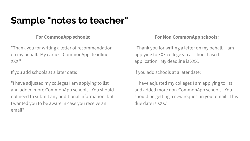## **Sample "notes to teacher"**

#### **For CommonApp schools:**

"Thank you for writing a letter of recommendation on my behalf. My earliest CommonApp deadline is XXX."

If you add schools at a later date:

"I have adjusted my colleges I am applying to list and added more CommonApp schools. You should not need to submit any additional information, but I wanted you to be aware in case you receive an email"

#### **For Non CommonApp schools:**

"Thank you for writing a letter on my behalf. I am applying to XXX college via a school based application. My deadline is XXX."

If you add schools at a later date:

"I have adjusted my colleges I am applying to list and added more non-CommonApp schools. You should be getting a new request in your email. This due date is XXX."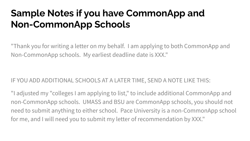## **Sample Notes if you have CommonApp and Non-CommonApp Schools**

"Thank you for writing a letter on my behalf. I am applying to both CommonApp and Non-CommonApp schools. My earliest deadline date is XXX."

### IF YOU ADD ADDITIONAL SCHOOLS AT A LATER TIME, SEND A NOTE LIKE THIS:

"I adjusted my "colleges I am applying to list," to include additional CommonApp and non-CommonApp schools. UMASS and BSU are CommonApp schools, you should not need to submit anything to either school. Pace University is a non-CommonApp school for me, and I will need you to submit my letter of recommendation by XXX."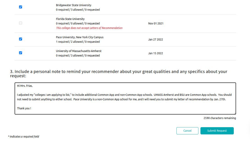| <b>Bridgewater State University</b><br>0 required / 3 allowed / 0 requested                                                |             |  |
|----------------------------------------------------------------------------------------------------------------------------|-------------|--|
| Florida State University<br>0 required / 0 allowed / 0 requested<br>This college does not accept Letters of Recommendation | Nov 01 2021 |  |
| Pace University, New York City Campus<br>1 required / 2 allowed / 0 requested                                              | Jan 27 2022 |  |
| University of Massachusetts-Amherst<br>0 required / 3 allowed / 0 requested                                                | Jan 15 2022 |  |

3. Include a personal note to remind your recommender about your great qualities and any specifics about your request:

| Hi Mrs. Frias,                                                                                                                                                                                                                                                                                                                                    |
|---------------------------------------------------------------------------------------------------------------------------------------------------------------------------------------------------------------------------------------------------------------------------------------------------------------------------------------------------|
| I adjusted my "colleges I am applying to list," to include additional Common App and non-Common App schools. UMASS Amherst and BSU are Common App schools. You should<br>not need to submit anything to either school. Pace University is a non-Common App school for me, and I will need you to submit my letter of recommendation by Jan. 27th. |
| Thank you!                                                                                                                                                                                                                                                                                                                                        |

2590 characters remaining